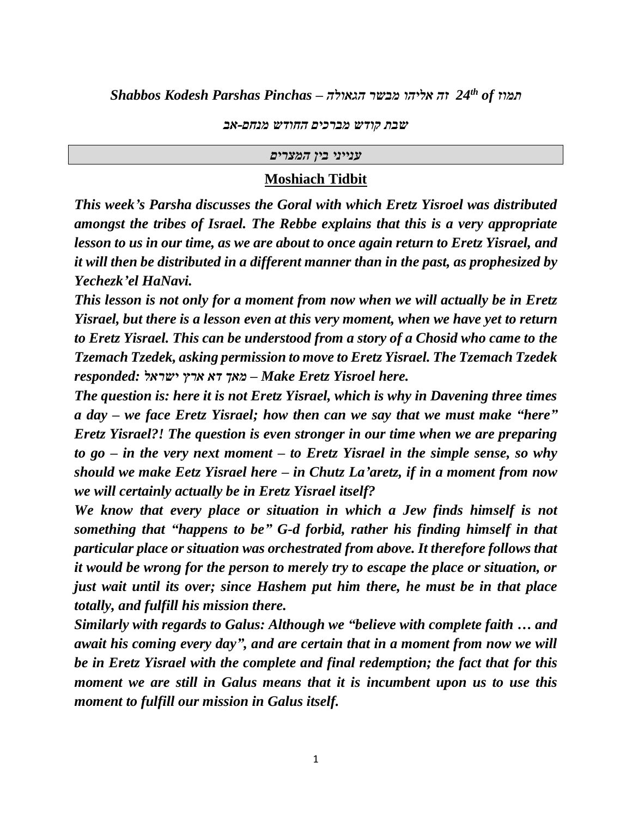*24 זה אליהו מבשר הגאולה – Pinchas Parshas Kodesh Shabbos th of תמוז*

*שבת קודש מברכים החודש מנחם-אב*

#### *ענייני בין המצרים*

## **Moshiach Tidbit**

*This week's Parsha discusses the Goral with which Eretz Yisroel was distributed amongst the tribes of Israel. The Rebbe explains that this is a very appropriate lesson to us in our time, as we are about to once again return to Eretz Yisrael, and it will then be distributed in a different manner than in the past, as prophesized by Yechezk'el HaNavi.*

*This lesson is not only for a moment from now when we will actually be in Eretz Yisrael, but there is a lesson even at this very moment, when we have yet to return to Eretz Yisrael. This can be understood from a story of a Chosid who came to the Tzemach Tzedek, asking permission to move to Eretz Yisrael. The Tzemach Tzedek responded: ישראל ארץ דא מאך – Make Eretz Yisroel here.*

*The question is: here it is not Eretz Yisrael, which is why in Davening three times a day – we face Eretz Yisrael; how then can we say that we must make "here" Eretz Yisrael?! The question is even stronger in our time when we are preparing to go – in the very next moment – to Eretz Yisrael in the simple sense, so why should we make Eetz Yisrael here – in Chutz La'aretz, if in a moment from now we will certainly actually be in Eretz Yisrael itself?*

*We know that every place or situation in which a Jew finds himself is not something that "happens to be" G-d forbid, rather his finding himself in that particular place or situation was orchestrated from above. It therefore follows that it would be wrong for the person to merely try to escape the place or situation, or just wait until its over; since Hashem put him there, he must be in that place totally, and fulfill his mission there.*

*Similarly with regards to Galus: Although we "believe with complete faith … and await his coming every day", and are certain that in a moment from now we will be in Eretz Yisrael with the complete and final redemption; the fact that for this moment we are still in Galus means that it is incumbent upon us to use this moment to fulfill our mission in Galus itself.*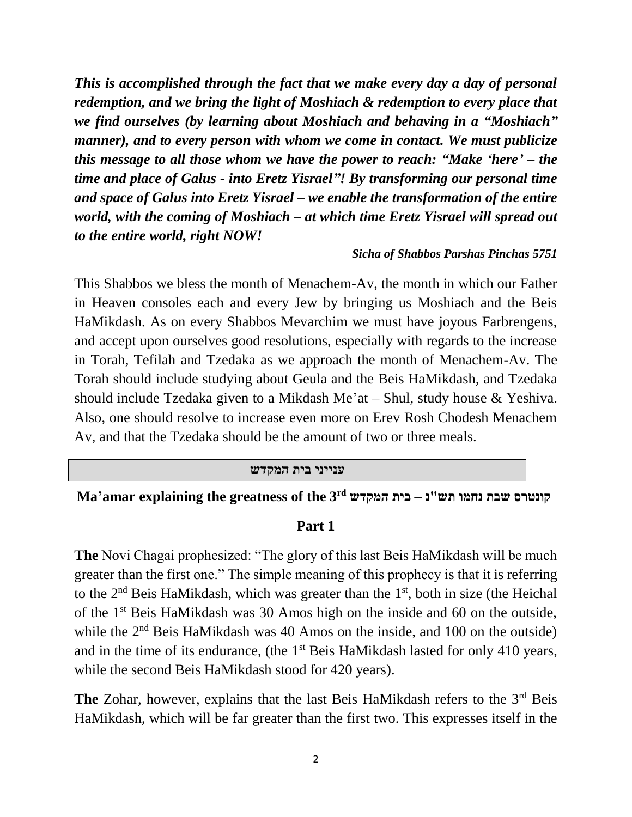*This is accomplished through the fact that we make every day a day of personal redemption, and we bring the light of Moshiach & redemption to every place that we find ourselves (by learning about Moshiach and behaving in a "Moshiach" manner), and to every person with whom we come in contact. We must publicize this message to all those whom we have the power to reach: "Make 'here' – the time and place of Galus - into Eretz Yisrael"! By transforming our personal time and space of Galus into Eretz Yisrael – we enable the transformation of the entire world, with the coming of Moshiach – at which time Eretz Yisrael will spread out to the entire world, right NOW!*

## *Sicha of Shabbos Parshas Pinchas 5751*

This Shabbos we bless the month of Menachem-Av, the month in which our Father in Heaven consoles each and every Jew by bringing us Moshiach and the Beis HaMikdash. As on every Shabbos Mevarchim we must have joyous Farbrengens, and accept upon ourselves good resolutions, especially with regards to the increase in Torah, Tefilah and Tzedaka as we approach the month of Menachem-Av. The Torah should include studying about Geula and the Beis HaMikdash, and Tzedaka should include Tzedaka given to a Mikdash Me'at – Shul, study house & Yeshiva. Also, one should resolve to increase even more on Erev Rosh Chodesh Menachem Av, and that the Tzedaka should be the amount of two or three meals.

#### **ענייני בית המקדש**

# **Ma'amar explaining the greatness of the 3rd המקדש בית – נ"תש נחמו שבת קונטרס**

### **Part 1**

**The** Novi Chagai prophesized: "The glory of this last Beis HaMikdash will be much greater than the first one." The simple meaning of this prophecy is that it is referring to the 2<sup>nd</sup> Beis HaMikdash, which was greater than the 1<sup>st</sup>, both in size (the Heichal of the 1st Beis HaMikdash was 30 Amos high on the inside and 60 on the outside, while the 2<sup>nd</sup> Beis HaMikdash was 40 Amos on the inside, and 100 on the outside) and in the time of its endurance, (the 1<sup>st</sup> Beis HaMikdash lasted for only 410 years, while the second Beis HaMikdash stood for 420 years).

The Zohar, however, explains that the last Beis HaMikdash refers to the 3<sup>rd</sup> Beis HaMikdash, which will be far greater than the first two. This expresses itself in the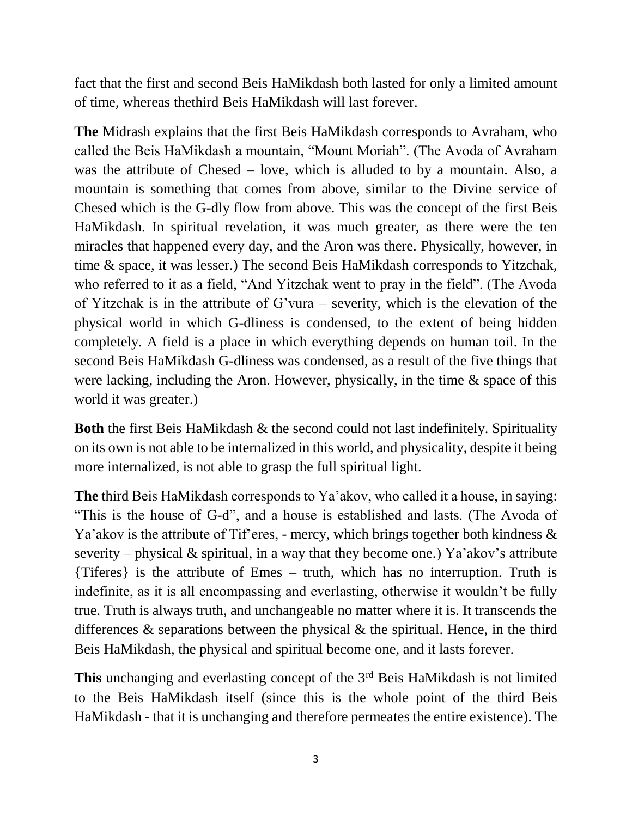fact that the first and second Beis HaMikdash both lasted for only a limited amount of time, whereas thethird Beis HaMikdash will last forever.

**The** Midrash explains that the first Beis HaMikdash corresponds to Avraham, who called the Beis HaMikdash a mountain, "Mount Moriah". (The Avoda of Avraham was the attribute of Chesed – love, which is alluded to by a mountain. Also, a mountain is something that comes from above, similar to the Divine service of Chesed which is the G-dly flow from above. This was the concept of the first Beis HaMikdash. In spiritual revelation, it was much greater, as there were the ten miracles that happened every day, and the Aron was there. Physically, however, in time & space, it was lesser.) The second Beis HaMikdash corresponds to Yitzchak, who referred to it as a field, "And Yitzchak went to pray in the field". (The Avoda of Yitzchak is in the attribute of G'vura – severity, which is the elevation of the physical world in which G-dliness is condensed, to the extent of being hidden completely. A field is a place in which everything depends on human toil. In the second Beis HaMikdash G-dliness was condensed, as a result of the five things that were lacking, including the Aron. However, physically, in the time  $\&$  space of this world it was greater.)

**Both** the first Beis HaMikdash & the second could not last indefinitely. Spirituality on its own is not able to be internalized in this world, and physicality, despite it being more internalized, is not able to grasp the full spiritual light.

**The** third Beis HaMikdash corresponds to Ya'akov, who called it a house, in saying: "This is the house of G-d", and a house is established and lasts. (The Avoda of Ya'akov is the attribute of Tif'eres, - mercy, which brings together both kindness  $\&$ severity – physical  $\&$  spiritual, in a way that they become one.) Ya'akov's attribute {Tiferes} is the attribute of Emes – truth, which has no interruption. Truth is indefinite, as it is all encompassing and everlasting, otherwise it wouldn't be fully true. Truth is always truth, and unchangeable no matter where it is. It transcends the differences  $\&$  separations between the physical  $\&$  the spiritual. Hence, in the third Beis HaMikdash, the physical and spiritual become one, and it lasts forever.

This unchanging and everlasting concept of the 3<sup>rd</sup> Beis HaMikdash is not limited to the Beis HaMikdash itself (since this is the whole point of the third Beis HaMikdash - that it is unchanging and therefore permeates the entire existence). The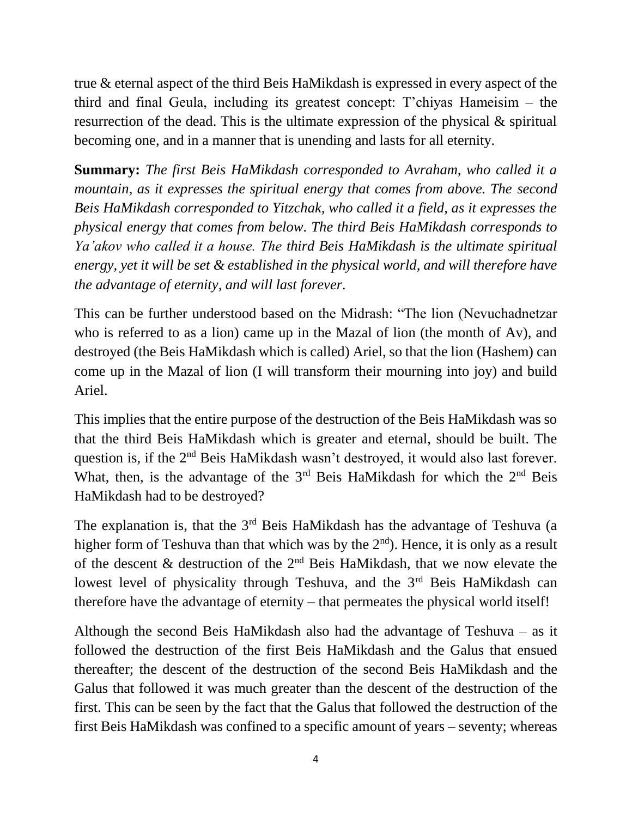true & eternal aspect of the third Beis HaMikdash is expressed in every aspect of the third and final Geula, including its greatest concept: T'chiyas Hameisim – the resurrection of the dead. This is the ultimate expression of the physical & spiritual becoming one, and in a manner that is unending and lasts for all eternity.

**Summary:** *The first Beis HaMikdash corresponded to Avraham, who called it a mountain, as it expresses the spiritual energy that comes from above. The second Beis HaMikdash corresponded to Yitzchak, who called it a field, as it expresses the physical energy that comes from below. The third Beis HaMikdash corresponds to Ya'akov who called it a house. The third Beis HaMikdash is the ultimate spiritual energy, yet it will be set & established in the physical world, and will therefore have the advantage of eternity, and will last forever.*

This can be further understood based on the Midrash: "The lion (Nevuchadnetzar who is referred to as a lion) came up in the Mazal of lion (the month of Av), and destroyed (the Beis HaMikdash which is called) Ariel, so that the lion (Hashem) can come up in the Mazal of lion (I will transform their mourning into joy) and build Ariel.

This implies that the entire purpose of the destruction of the Beis HaMikdash was so that the third Beis HaMikdash which is greater and eternal, should be built. The question is, if the 2nd Beis HaMikdash wasn't destroyed, it would also last forever. What, then, is the advantage of the  $3<sup>rd</sup>$  Beis HaMikdash for which the  $2<sup>nd</sup>$  Beis HaMikdash had to be destroyed?

The explanation is, that the  $3<sup>rd</sup>$  Beis HaMikdash has the advantage of Teshuva (a higher form of Teshuva than that which was by the  $2<sup>nd</sup>$ ). Hence, it is only as a result of the descent  $\&$  destruction of the  $2<sup>nd</sup>$  Beis HaMikdash, that we now elevate the lowest level of physicality through Teshuva, and the  $3<sup>rd</sup>$  Beis HaMikdash can therefore have the advantage of eternity – that permeates the physical world itself!

Although the second Beis HaMikdash also had the advantage of Teshuva – as it followed the destruction of the first Beis HaMikdash and the Galus that ensued thereafter; the descent of the destruction of the second Beis HaMikdash and the Galus that followed it was much greater than the descent of the destruction of the first. This can be seen by the fact that the Galus that followed the destruction of the first Beis HaMikdash was confined to a specific amount of years – seventy; whereas